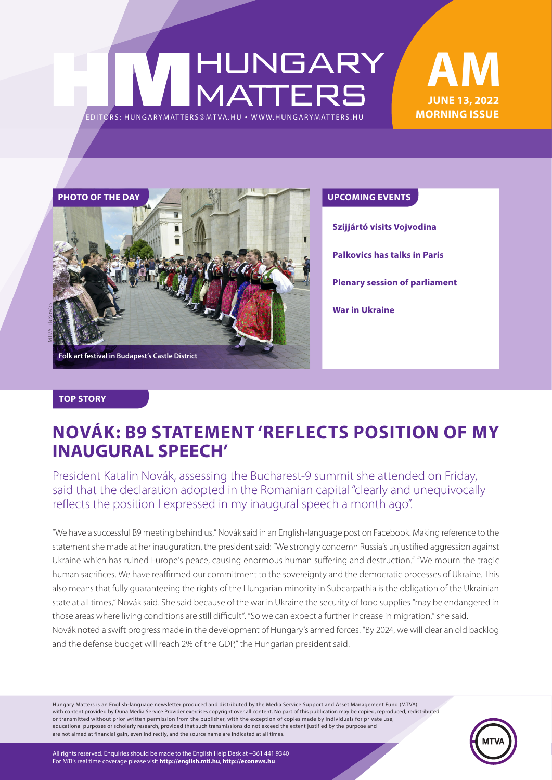# HUNGARY<br>MATTERS EDITORS: HUNGARYMATTERS@MTVA.HU





**Szijjártó visits Vojvodina**

**Palkovics has talks in Paris**

**Plenary session of parliament**

**War in Ukraine**

#### **TOP STORY**

### **NOVÁK: B9 STATEMENT 'REFLECTS POSITION OF MY INAUGURAL SPEECH'**

President Katalin Novák, assessing the Bucharest-9 summit she attended on Friday, said that the declaration adopted in the Romanian capital "clearly and unequivocally reflects the position I expressed in my inaugural speech a month ago".

"We have a successful B9 meeting behind us," Novák said in an English-language post on Facebook. Making reference to the statement she made at her inauguration, the president said: "We strongly condemn Russia's unjustified aggression against Ukraine which has ruined Europe's peace, causing enormous human suffering and destruction." "We mourn the tragic human sacrifices. We have reaffirmed our commitment to the sovereignty and the democratic processes of Ukraine. This also means that fully guaranteeing the rights of the Hungarian minority in Subcarpathia is the obligation of the Ukrainian state at all times," Novák said. She said because of the war in Ukraine the security of food supplies "may be endangered in those areas where living conditions are still difficult". "So we can expect a further increase in migration," she said. Novák noted a swift progress made in the development of Hungary's armed forces. "By 2024, we will clear an old backlog and the defense budget will reach 2% of the GDP," the Hungarian president said.

Hungary Matters is an English-language newsletter produced and distributed by the Media Service Support and Asset Management Fund (MTVA) with content provided by Duna Media Service Provider exercises copyright over all content. No part of this publication may be copied, reproduced, redistributed or transmitted without prior written permission from the publisher, with the exception of copies made by individuals for private use, educational purposes or scholarly research, provided that such transmissions do not exceed the extent justified by the purpose and are not aimed at financial gain, even indirectly, and the source name are indicated at all times.



All rights reserved. Enquiries should be made to the English Help Desk at +361 441 9340 For MTI's real time coverage please visit **http://english.mti.hu**, **http://econews.hu**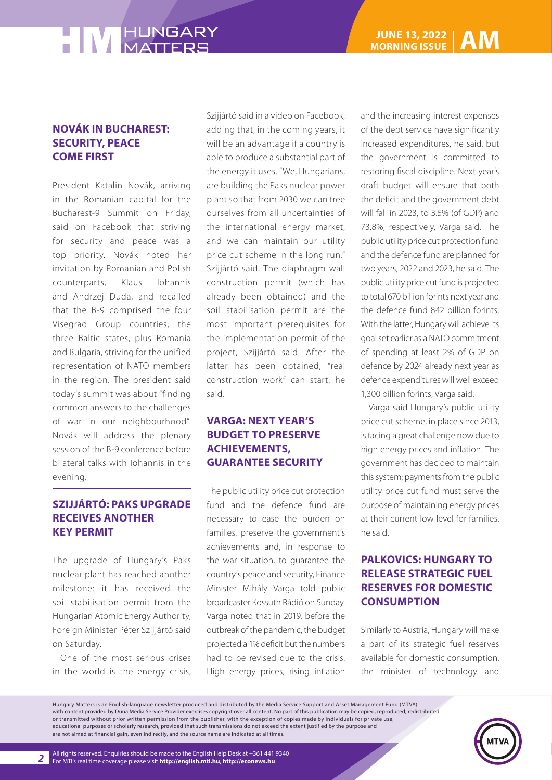### **HIM HUNGARY**

#### **NOVÁK IN BUCHAREST: SECURITY, PEACE COME FIRST**

President Katalin Novák, arriving in the Romanian capital for the Bucharest-9 Summit on Friday, said on Facebook that striving for security and peace was a top priority. Novák noted her invitation by Romanian and Polish counterparts, Klaus Iohannis and Andrzej Duda, and recalled that the B-9 comprised the four Visegrad Group countries, the three Baltic states, plus Romania and Bulgaria, striving for the unified representation of NATO members in the region. The president said today's summit was about "finding common answers to the challenges of war in our neighbourhood". Novák will address the plenary session of the B-9 conference before bilateral talks with Iohannis in the evening.

#### **SZIJJÁRTÓ: PAKS UPGRADE RECEIVES ANOTHER KEY PERMIT**

The upgrade of Hungary's Paks nuclear plant has reached another milestone: it has received the soil stabilisation permit from the Hungarian Atomic Energy Authority, Foreign Minister Péter Szijjártó said on Saturday.

One of the most serious crises in the world is the energy crisis, Szijjártó said in a video on Facebook, adding that, in the coming years, it will be an advantage if a country is able to produce a substantial part of the energy it uses. "We, Hungarians, are building the Paks nuclear power plant so that from 2030 we can free ourselves from all uncertainties of the international energy market, and we can maintain our utility price cut scheme in the long run," Szijjártó said. The diaphragm wall construction permit (which has already been obtained) and the soil stabilisation permit are the most important prerequisites for the implementation permit of the project, Szijjártó said. After the latter has been obtained, "real construction work" can start, he said.

#### **VARGA: NEXT YEAR'S BUDGET TO PRESERVE ACHIEVEMENTS, GUARANTEE SECURITY**

The public utility price cut protection fund and the defence fund are necessary to ease the burden on families, preserve the government's achievements and, in response to the war situation, to guarantee the country's peace and security, Finance Minister Mihály Varga told public broadcaster Kossuth Rádió on Sunday. Varga noted that in 2019, before the outbreak of the pandemic, the budget projected a 1% deficit but the numbers had to be revised due to the crisis. High energy prices, rising inflation and the increasing interest expenses of the debt service have significantly increased expenditures, he said, but the government is committed to restoring fiscal discipline. Next year's draft budget will ensure that both the deficit and the government debt will fall in 2023, to 3.5% (of GDP) and 73.8%, respectively, Varga said. The public utility price cut protection fund and the defence fund are planned for two years, 2022 and 2023, he said. The public utility price cut fund is projected to total 670 billion forints next year and the defence fund 842 billion forints. With the latter, Hungary will achieve its goal set earlier as a NATO commitment of spending at least 2% of GDP on defence by 2024 already next year as defence expenditures will well exceed 1,300 billion forints, Varga said.

Varga said Hungary's public utility price cut scheme, in place since 2013, is facing a great challenge now due to high energy prices and inflation. The government has decided to maintain this system; payments from the public utility price cut fund must serve the purpose of maintaining energy prices at their current low level for families, he said.

#### **PALKOVICS: HUNGARY TO RELEASE STRATEGIC FUEL RESERVES FOR DOMESTIC CONSUMPTION**

Similarly to Austria, Hungary will make a part of its strategic fuel reserves available for domestic consumption, the minister of technology and

Hungary Matters is an English-language newsletter produced and distributed by the Media Service Support and Asset Management Fund (MTVA) with content provided by Duna Media Service Provider exercises copyright over all content. No part of this publication may be copied, reproduced, redistributed or transmitted without prior written permission from the publisher, with the exception of copies made by individuals for private use, educational purposes or scholarly research, provided that such transmissions do not exceed the extent justified by the purpose and are not aimed at financial gain, even indirectly, and the source name are indicated at all times.

*2*